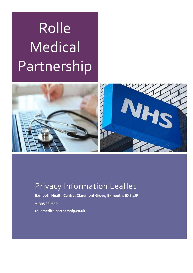# Rolle **Medical** Partnership



# Privacy Information Leaflet

**Exmouth Health Centre, Claremont Grove, Exmouth, EX8 2JF**

**01395 226540**

**rollemedicalpartnership.co.uk**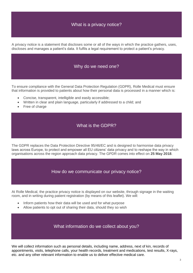## What is a privacy notice?

A privacy notice is a statement that discloses some or all of the ways in which the practice gathers, uses, discloses and manages a patient's data. It fulfils a legal requirement to protect a patient's privacy.

#### Why do we need one?

To ensure compliance with the General Data Protection Regulation (GDPR), Rolle Medical must ensure that information is provided to patients about how their personal data is processed in a manner which is:

- Concise, transparent, intelligible and easily accessible;
- Written in clear and plain language, particularly if addressed to a child; and
- Free of charge

#### What is the GDPR?

The GDPR replaces the Data Protection Directive 95/46/EC and is designed to harmonise data privacy laws across Europe, to protect and empower all EU citizens' data privacy and to reshape the way in which organisations across the region approach data privacy. The GPDR comes into effect on **25 May 2018**.

How do we communicate our privacy notice?

At Rolle Medical, the practice privacy notice is displayed on our website, through signage in the waiting room, and in writing during patient registration (by means of this leaflet). We will:

- Inform patients how their data will be used and for what purpose
- Allow patients to opt out of sharing their data, should they so wish

#### What information do we collect about you?

We will collect information such as personal details, including name, address, next of kin, records of appointments, visits, telephone calls, your health records, treatment and medications, test results, X-rays, etc. and any other relevant information to enable us to deliver effective medical care.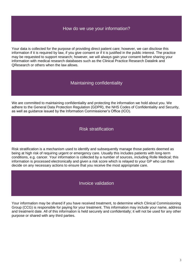#### How do we use your information?

Your data is collected for the purpose of providing direct patient care; however, we can disclose this information if it is required by law, if you give consent or if it is justified in the public interest. The practice may be requested to support research; however, we will always gain your consent before sharing your information with medical research databases such as the Clinical Practice Research Datalink and QResearch or others when the law allows.

#### Maintaining confidentiality

We are committed to maintaining confidentiality and protecting the information we hold about you. We adhere to the General Data Protection Regulation (GDPR), the NHS Codes of Confidentiality and Security, as well as guidance issued by the Information Commissioner's Office (ICO).

#### Risk stratification

Risk stratification is a mechanism used to identify and subsequently manage those patients deemed as being at high risk of requiring urgent or emergency care. Usually this includes patients with long-term conditions, e.g. cancer. Your information is collected by a number of sources, including Rolle Medical; this information is processed electronically and given a risk score which is relayed to your GP who can then decide on any necessary actions to ensure that you receive the most appropriate care.

#### Invoice validation

Your information may be shared if you have received treatment, to determine which Clinical Commissioning Group (CCG) is responsible for paying for your treatment. This information may include your name, address and treatment date. All of this information is held securely and confidentially; it will not be used for any other purpose or shared with any third parties.